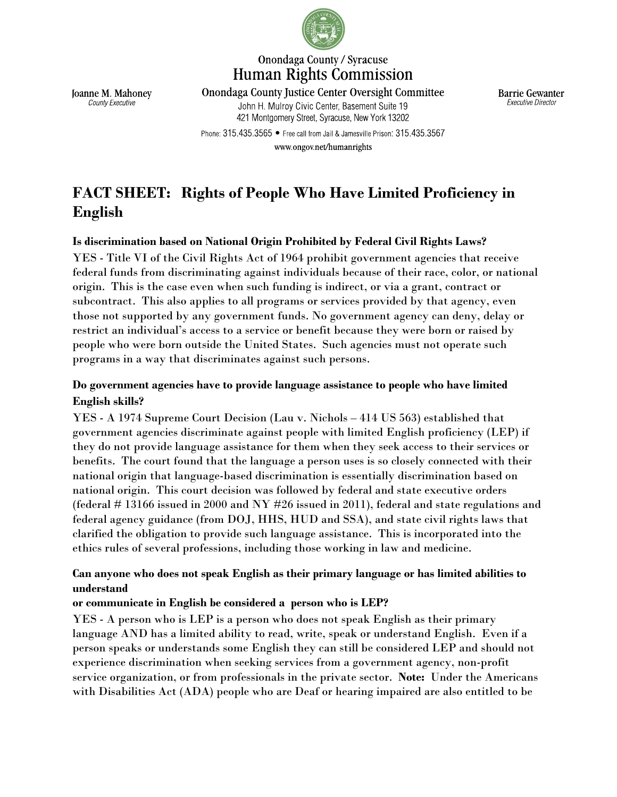

Onondaga County Justice Center Oversight Committee

John H. Mulroy Civic Center, Basement Suite 19 421 Montgomery Street, Syracuse, New York 13202

Phone: 315 435 3565 · Free call from Jail & Jamesville Prison: 315 435 3567 www.ongov.net/humanrights

**Barrie Gewanter Executive Director** 

# **FACT SHEET: Rights of People Who Have Limited Proficiency in English**

### **Is discrimination based on National Origin Prohibited by Federal Civil Rights Laws?**

YES - Title VI of the Civil Rights Act of 1964 prohibit government agencies that receive federal funds from discriminating against individuals because of their race, color, or national origin. This is the case even when such funding is indirect, or via a grant, contract or subcontract. This also applies to all programs or services provided by that agency, even those not supported by any government funds. No government agency can deny, delay or restrict an individual's access to a service or benefit because they were born or raised by people who were born outside the United States. Such agencies must not operate such programs in a way that discriminates against such persons.

#### **Do government agencies have to provide language assistance to people who have limited English skills?**

YES - A 1974 Supreme Court Decision (Lau v. Nichols – 414 US 563) established that government agencies discriminate against people with limited English proficiency (LEP) if they do not provide language assistance for them when they seek access to their services or benefits. The court found that the language a person uses is so closely connected with their national origin that language-based discrimination is essentially discrimination based on national origin. This court decision was followed by federal and state executive orders (federal  $\#$  13166 issued in 2000 and NY  $\#26$  issued in 2011), federal and state regulations and federal agency guidance (from DOJ, HHS, HUD and SSA), and state civil rights laws that clarified the obligation to provide such language assistance. This is incorporated into the ethics rules of several professions, including those working in law and medicine.

#### **Can anyone who does not speak English as their primary language or has limited abilities to understand**

#### **or communicate in English be considered a person who is LEP?**

YES - A person who is LEP is a person who does not speak English as their primary language AND has a limited ability to read, write, speak or understand English. Even if a person speaks or understands some English they can still be considered LEP and should not experience discrimination when seeking services from a government agency, non-profit service organization, or from professionals in the private sector. **Note:** Under the Americans with Disabilities Act (ADA) people who are Deaf or hearing impaired are also entitled to be

Joanne M. Mahoney **County Executive**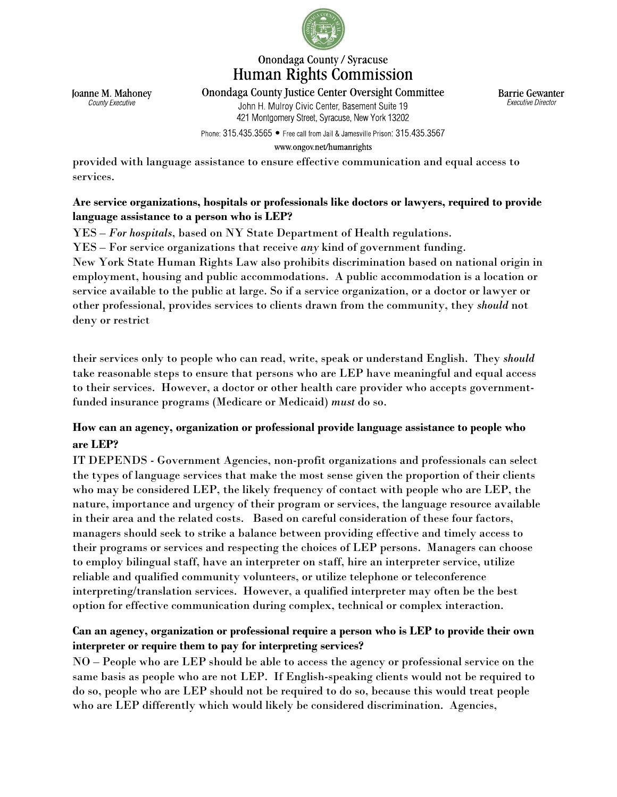

Onondaga County Justice Center Oversight Committee

John H. Mulroy Civic Center, Basement Suite 19 421 Montgomery Street, Syracuse, New York 13202

Phone: 315.435.3565 ● Free call from Jail & Jamesville Prison: 315.435.3567 www.ongov.net/humanrights

provided with language assistance to ensure effective communication and equal access to services.

#### **Are service organizations, hospitals or professionals like doctors or lawyers, required to provide language assistance to a person who is LEP?**

YES – *For hospitals*, based on NY State Department of Health regulations.

YES – For service organizations that receive *any* kind of government funding.

New York State Human Rights Law also prohibits discrimination based on national origin in employment, housing and public accommodations. A public accommodation is a location or service available to the public at large. So if a service organization, or a doctor or lawyer or other professional, provides services to clients drawn from the community, they *should* not deny or restrict

their services only to people who can read, write, speak or understand English. They *should* take reasonable steps to ensure that persons who are LEP have meaningful and equal access to their services. However, a doctor or other health care provider who accepts governmentfunded insurance programs (Medicare or Medicaid) *must* do so.

### **How can an agency, organization or professional provide language assistance to people who are LEP?**

IT DEPENDS - Government Agencies, non-profit organizations and professionals can select the types of language services that make the most sense given the proportion of their clients who may be considered LEP, the likely frequency of contact with people who are LEP, the nature, importance and urgency of their program or services, the language resource available in their area and the related costs. Based on careful consideration of these four factors, managers should seek to strike a balance between providing effective and timely access to their programs or services and respecting the choices of LEP persons. Managers can choose to employ bilingual staff, have an interpreter on staff, hire an interpreter service, utilize reliable and qualified community volunteers, or utilize telephone or teleconference interpreting/translation services. However, a qualified interpreter may often be the best option for effective communication during complex, technical or complex interaction.

#### **Can an agency, organization or professional require a person who is LEP to provide their own interpreter or require them to pay for interpreting services?**

NO – People who are LEP should be able to access the agency or professional service on the same basis as people who are not LEP. If English-speaking clients would not be required to do so, people who are LEP should not be required to do so, because this would treat people who are LEP differently which would likely be considered discrimination. Agencies,

Joanne M. Mahoney County Executive

**Barrie Gewanter Executive Director**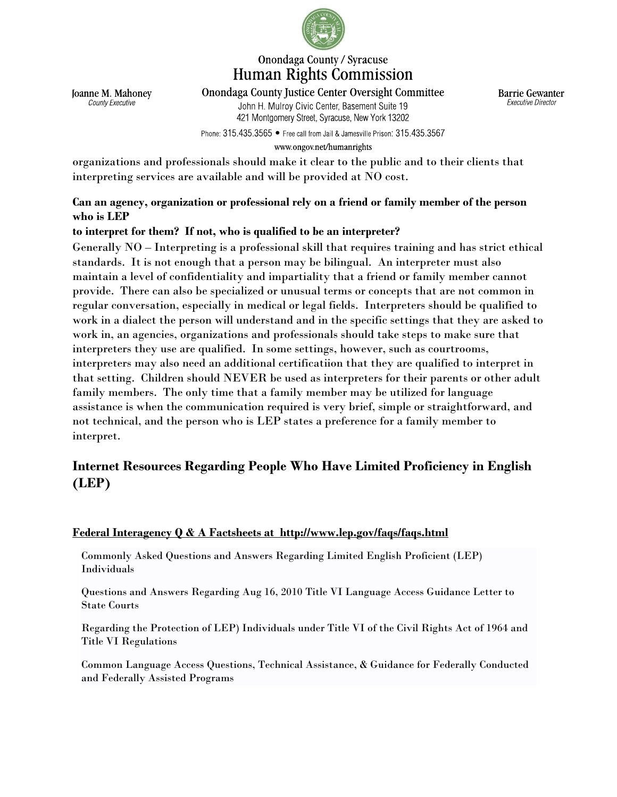

Onondaga County Justice Center Oversight Committee

John H. Mulroy Civic Center, Basement Suite 19 421 Montgomery Street, Syracuse, New York 13202 **Barrie Gewanter Executive Director** 

Phone: 315 435 3565 · Free call from Jail & Jamesville Prison: 315 435 3567 www.ongov.net/humanrights

organizations and professionals should make it clear to the public and to their clients that interpreting services are available and will be provided at NO cost.

#### **Can an agency, organization or professional rely on a friend or family member of the person who is LEP**

#### **to interpret for them? If not, who is qualified to be an interpreter?**

Generally NO – Interpreting is a professional skill that requires training and has strict ethical standards. It is not enough that a person may be bilingual. An interpreter must also maintain a level of confidentiality and impartiality that a friend or family member cannot provide. There can also be specialized or unusual terms or concepts that are not common in regular conversation, especially in medical or legal fields. Interpreters should be qualified to work in a dialect the person will understand and in the specific settings that they are asked to work in, an agencies, organizations and professionals should take steps to make sure that interpreters they use are qualified. In some settings, however, such as courtrooms, interpreters may also need an additional certificatiion that they are qualified to interpret in that setting. Children should NEVER be used as interpreters for their parents or other adult family members. The only time that a family member may be utilized for language assistance is when the communication required is very brief, simple or straightforward, and not technical, and the person who is LEP states a preference for a family member to interpret.

### **Internet Resources Regarding People Who Have Limited Proficiency in English (LEP)**

#### **Federal Interagency Q & A Factsheets at <http://www.lep.gov/faqs/faqs.html>**

[Commonly Asked Questions and Answers Regarding Limited English Proficient \(LEP\)](http://www.lep.gov/faqs/faqs.html#One_LEP_FAQ)  [Individuals](http://www.lep.gov/faqs/faqs.html#One_LEP_FAQ) 

[Questions and Answers Regarding Aug 16, 2010 Title VI Language Access Guidance Letter to](http://www.lep.gov/faqs/faqs.html#Three_State_Court_QandA)  [State Courts](http://www.lep.gov/faqs/faqs.html#Three_State_Court_QandA)

[Regarding the Protection of LEP\) Individuals under Title VI of the Civil Rights Act of 1964 and](http://www.lep.gov/faqs/faqs.html#Four_Title_VI_Regs_FAQ)  [Title VI Regulations](http://www.lep.gov/faqs/faqs.html#Four_Title_VI_Regs_FAQ)

[Common Language Access Questions, Technical Assistance, & Guidance for Federally Conducted](http://www.lep.gov/faqs/faqs.html#Five_LA_Q_TA_CAQ)  [and Federally Assisted Programs](http://www.lep.gov/faqs/faqs.html#Five_LA_Q_TA_CAQ)

Joanne M. Mahoney County Executive